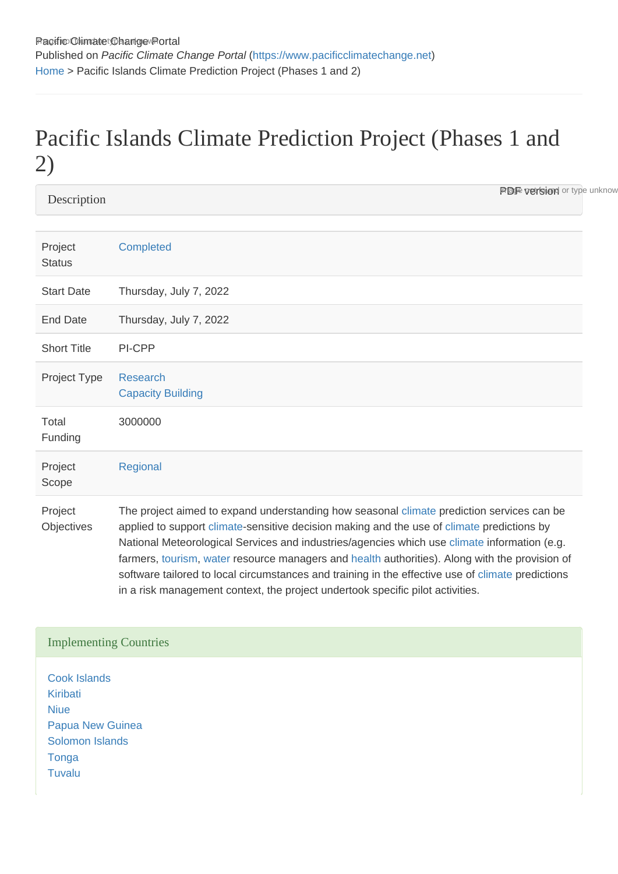## Pacific Islands Climate Prediction Project (Phases 1 and 2)

**Description** 

**PDF version** or type unknow

| Project<br><b>Status</b> | <b>Completed</b>                                                                                                                                                                                                                                                                                                                                                                                                                                                                               |
|--------------------------|------------------------------------------------------------------------------------------------------------------------------------------------------------------------------------------------------------------------------------------------------------------------------------------------------------------------------------------------------------------------------------------------------------------------------------------------------------------------------------------------|
| <b>Start Date</b>        | Thursday, July 7, 2022                                                                                                                                                                                                                                                                                                                                                                                                                                                                         |
| <b>End Date</b>          | Thursday, July 7, 2022                                                                                                                                                                                                                                                                                                                                                                                                                                                                         |
| <b>Short Title</b>       | PI-CPP                                                                                                                                                                                                                                                                                                                                                                                                                                                                                         |
| Project Type             | Research<br><b>Capacity Building</b>                                                                                                                                                                                                                                                                                                                                                                                                                                                           |
| Total<br>Funding         | 3000000                                                                                                                                                                                                                                                                                                                                                                                                                                                                                        |
| Project<br>Scope         | Regional                                                                                                                                                                                                                                                                                                                                                                                                                                                                                       |
| Project<br>Objectives    | The project aimed to expand understanding how seasonal climate prediction services can be<br>applied to support climate-sensitive decision making and the use of climate predictions by<br>National Meteorological Services and industries/agencies which use climate information (e.g.<br>farmers, tourism, water resource managers and health authorities). Along with the provision of<br>software tailored to local circumstances and training in the effective use of climate predictions |

in a risk management context, the project undertook specific pilot activities.

## Implementing Countries

[Cook Islands](https://www.pacificclimatechange.net/node/9481) [Kiribati](https://www.pacificclimatechange.net/node/52) [Niue](https://www.pacificclimatechange.net/node/55) [Papua New Guinea](https://www.pacificclimatechange.net/node/58) [Solomon Islands](https://www.pacificclimatechange.net/node/59) **[Tonga](https://www.pacificclimatechange.net/node/61)** [Tuvalu](https://www.pacificclimatechange.net/node/62)